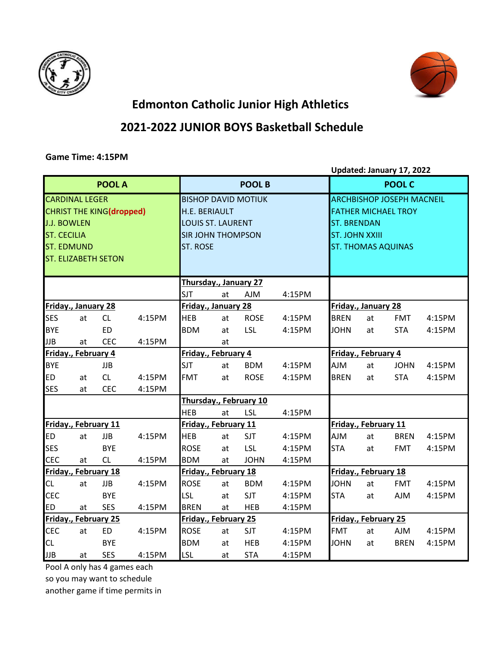



## **Edmonton Catholic Junior High Athletics**

## **2021-2022 JUNIOR BOYS Basketball Schedule**

## **Game Time: 4:15PM**

**Updated: January 17, 2022**

|                                          |                                            | <b>POOL A</b>                                                 |        | <b>POOL B</b>                                                                                                          |    |                        |        |                      | <b>POOL C</b>                                                                                                                              |             |        |  |
|------------------------------------------|--------------------------------------------|---------------------------------------------------------------|--------|------------------------------------------------------------------------------------------------------------------------|----|------------------------|--------|----------------------|--------------------------------------------------------------------------------------------------------------------------------------------|-------------|--------|--|
| <b>J.J. BOWLEN</b><br><b>ST. CECILIA</b> | <b>CARDINAL LEGER</b><br><b>ST. EDMUND</b> | <b>CHRIST THE KING(dropped)</b><br><b>ST. ELIZABETH SETON</b> |        | <b>BISHOP DAVID MOTIUK</b><br>H.E. BERIAULT<br><b>LOUIS ST. LAURENT</b><br><b>SIR JOHN THOMPSON</b><br><b>ST. ROSE</b> |    |                        |        |                      | <b>ARCHBISHOP JOSEPH MACNEIL</b><br><b>FATHER MICHAEL TROY</b><br><b>ST. BRENDAN</b><br><b>ST. JOHN XXIII</b><br><b>ST. THOMAS AQUINAS</b> |             |        |  |
|                                          |                                            |                                                               |        | Thursday., January 27                                                                                                  |    |                        |        |                      |                                                                                                                                            |             |        |  |
|                                          |                                            |                                                               |        | <b>SJT</b>                                                                                                             | at | <b>AJM</b>             | 4:15PM |                      |                                                                                                                                            |             |        |  |
|                                          | Friday., January 28                        |                                                               |        | Friday., January 28                                                                                                    |    |                        |        | Friday., January 28  |                                                                                                                                            |             |        |  |
| <b>SES</b>                               | at                                         | CL                                                            | 4:15PM | <b>HEB</b>                                                                                                             | at | <b>ROSE</b>            | 4:15PM | <b>BREN</b>          | at                                                                                                                                         | <b>FMT</b>  | 4:15PM |  |
| <b>BYE</b>                               |                                            | <b>ED</b>                                                     |        | <b>BDM</b>                                                                                                             | at | LSL                    | 4:15PM | <b>JOHN</b>          | at                                                                                                                                         | <b>STA</b>  | 4:15PM |  |
| <b>JJB</b>                               | at                                         | <b>CEC</b>                                                    | 4:15PM |                                                                                                                        | at |                        |        |                      |                                                                                                                                            |             |        |  |
| Friday., February 4                      |                                            |                                                               |        | Friday., February 4                                                                                                    |    |                        |        | Friday., February 4  |                                                                                                                                            |             |        |  |
| <b>BYE</b>                               |                                            | <b>JJB</b>                                                    |        | <b>SJT</b>                                                                                                             | at | <b>BDM</b>             | 4:15PM | <b>AJM</b>           | at                                                                                                                                         | <b>JOHN</b> | 4:15PM |  |
| <b>ED</b>                                | at                                         | CL                                                            | 4:15PM | <b>FMT</b>                                                                                                             | at | <b>ROSE</b>            | 4:15PM | <b>BREN</b>          | at                                                                                                                                         | <b>STA</b>  | 4:15PM |  |
| <b>SES</b>                               | at                                         | <b>CEC</b>                                                    | 4:15PM |                                                                                                                        |    |                        |        |                      |                                                                                                                                            |             |        |  |
|                                          |                                            |                                                               |        |                                                                                                                        |    | Thursday., February 10 |        |                      |                                                                                                                                            |             |        |  |
|                                          |                                            |                                                               |        | <b>HEB</b>                                                                                                             | at | <b>LSL</b>             | 4:15PM |                      |                                                                                                                                            |             |        |  |
| Friday., February 11                     |                                            |                                                               |        | Friday., February 11                                                                                                   |    |                        |        | Friday., February 11 |                                                                                                                                            |             |        |  |
| <b>ED</b>                                | at                                         | <b>JJB</b>                                                    | 4:15PM | <b>HEB</b>                                                                                                             | at | <b>SJT</b>             | 4:15PM | <b>AJM</b>           | at                                                                                                                                         | <b>BREN</b> | 4:15PM |  |
| <b>SES</b>                               |                                            | <b>BYE</b>                                                    |        | <b>ROSE</b>                                                                                                            | at | LSL                    | 4:15PM | <b>STA</b>           | at                                                                                                                                         | <b>FMT</b>  | 4:15PM |  |
| <b>CEC</b>                               | at                                         | CL                                                            | 4:15PM | <b>BDM</b>                                                                                                             | at | <b>JOHN</b>            | 4:15PM |                      |                                                                                                                                            |             |        |  |
|                                          |                                            | Friday., February 18                                          |        | Friday., February 18                                                                                                   |    |                        |        |                      | Friday., February 18                                                                                                                       |             |        |  |
| <b>CL</b>                                | at                                         | <b>JJB</b>                                                    | 4:15PM | <b>ROSE</b>                                                                                                            | at | <b>BDM</b>             | 4:15PM | <b>JOHN</b>          | at                                                                                                                                         | <b>FMT</b>  | 4:15PM |  |
| <b>CEC</b>                               |                                            | <b>BYE</b>                                                    |        | LSL                                                                                                                    | at | <b>SJT</b>             | 4:15PM | <b>STA</b>           | at                                                                                                                                         | <b>AJM</b>  | 4:15PM |  |
| <b>ED</b>                                | at                                         | <b>SES</b>                                                    | 4:15PM | <b>BREN</b>                                                                                                            | at | <b>HEB</b>             | 4:15PM |                      |                                                                                                                                            |             |        |  |
|                                          |                                            | Friday., February 25                                          |        | Friday., February 25                                                                                                   |    |                        |        |                      | Friday., February 25                                                                                                                       |             |        |  |
| <b>CEC</b>                               | at                                         | <b>ED</b>                                                     | 4:15PM | <b>ROSE</b>                                                                                                            | at | SJT                    | 4:15PM | <b>FMT</b>           | at                                                                                                                                         | <b>AJM</b>  | 4:15PM |  |
| <b>CL</b>                                |                                            | <b>BYE</b>                                                    |        | <b>BDM</b>                                                                                                             | at | <b>HEB</b>             | 4:15PM | <b>JOHN</b>          | at                                                                                                                                         | <b>BREN</b> | 4:15PM |  |
| <b>JJB</b>                               | at                                         | <b>SES</b>                                                    | 4:15PM | <b>LSL</b>                                                                                                             | at | <b>STA</b>             | 4:15PM |                      |                                                                                                                                            |             |        |  |

Pool A only has 4 games each

so you may want to schedule

another game if time permits in